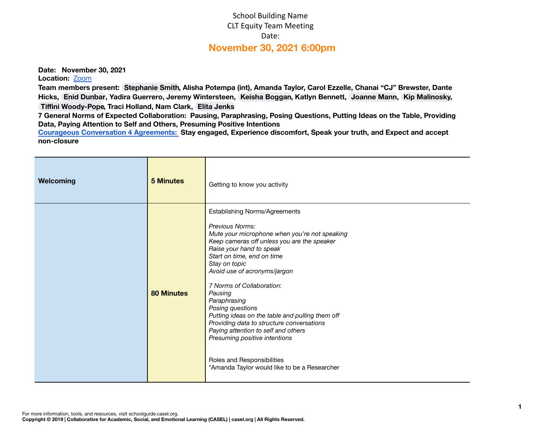## School Building Name CLT Equity Team Meeting Date: **November 30, 2021 6:00pm**

**Date: November 30, 2021**

Location: **[Zoom](https://temple.zoom.us/j/98434306459)** 

Team members present: [Stephanie](mailto:stephanie.smith@apsva.us) Smith, Alisha Potempa (int), Amanda Taylor, Carol Ezzelle, Chanai "CJ" Brewster, Dante Hicks, Enid [Dunbar](mailto:enid.dunbar@apsva.us), Yadira Guerrero, Jeremy Wintersteen, Keisha [Boggan,](mailto:keisha.boggan@apsva.us) Katlyn Bennett, [Joanne](mailto:joanne.mann@apsva.us) Mann, Kip [Malinosky,](mailto:kip.malinosky@apsva.us) **Tiffini [Woody-Pope,](mailto:tiffini.woodypope@apsva.us) Traci Holland, Nam Clark, Elita [Jenks](mailto:elita.jenks@apsva.us)**

7 General Norms of Expected Collaboration: Pausing, Paraphrasing, Posing Questions, Putting Ideas on the Table, Providing **Data, Paying Attention to Self and Others, Presuming Positive Intentions**

**Courageous [Conversation](https://iel.org/sites/default/files/G10-courageous-conversation-protocol-overview.pdf) 4 Agreements: Stay engaged, Experience discomfort, Speak your truth, and Expect and accept non-closure**

| <b>5 Minutes</b><br>Welcoming | Getting to know you activity                                                                                                                                                                                                                                                                                                                                                                                                                                                                                                                                                              |  |  |
|-------------------------------|-------------------------------------------------------------------------------------------------------------------------------------------------------------------------------------------------------------------------------------------------------------------------------------------------------------------------------------------------------------------------------------------------------------------------------------------------------------------------------------------------------------------------------------------------------------------------------------------|--|--|
| <b>80 Minutes</b><br>Pausing  | <b>Establishing Norms/Agreements</b><br>Previous Norms:<br>Mute your microphone when you're not speaking<br>Keep cameras off unless you are the speaker<br>Raise your hand to speak<br>Start on time, end on time<br>Stay on topic<br>Avoid use of acronyms/jargon<br>7 Norms of Collaboration:<br>Paraphrasing<br>Posing questions<br>Putting ideas on the table and pulling them off<br>Providing data to structure conversations<br>Paying attention to self and others<br>Presuming positive intentions<br>Roles and Responsibilities<br>*Amanda Taylor would like to be a Researcher |  |  |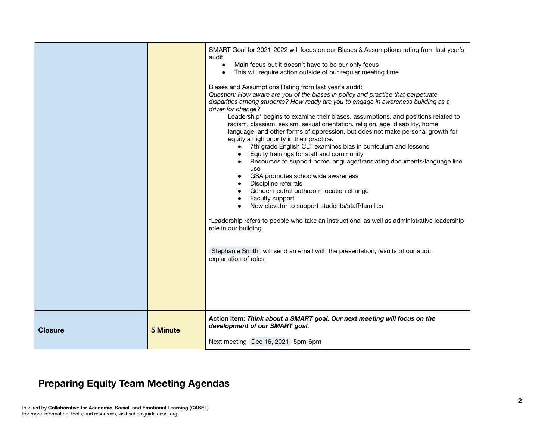|                |          | SMART Goal for 2021-2022 will focus on our Biases & Assumptions rating from last year's<br>audit<br>Main focus but it doesn't have to be our only focus<br>$\bullet$<br>This will require action outside of our regular meeting time<br>$\bullet$<br>Biases and Assumptions Rating from last year's audit:<br>Question: How aware are you of the biases in policy and practice that perpetuate<br>disparities among students? How ready are you to engage in awareness building as a<br>driver for change?<br>Leadership* begins to examine their biases, assumptions, and positions related to<br>racism, classism, sexism, sexual orientation, religion, age, disability, home<br>language, and other forms of oppression, but does not make personal growth for<br>equity a high priority in their practice.<br>7th grade English CLT examines bias in curriculum and lessons<br>$\bullet$<br>Equity trainings for staff and community<br>$\bullet$<br>Resources to support home language/translating documents/language line<br>$\bullet$<br>use<br>GSA promotes schoolwide awareness<br>$\bullet$<br>Discipline referrals<br>Gender neutral bathroom location change<br>Faculty support<br>$\bullet$<br>New elevator to support students/staff/families<br>$\bullet$<br>*Leadership refers to people who take an instructional as well as administrative leadership<br>role in our building<br>Stephanie Smith will send an email with the presentation, results of our audit,<br>explanation of roles |
|----------------|----------|-------------------------------------------------------------------------------------------------------------------------------------------------------------------------------------------------------------------------------------------------------------------------------------------------------------------------------------------------------------------------------------------------------------------------------------------------------------------------------------------------------------------------------------------------------------------------------------------------------------------------------------------------------------------------------------------------------------------------------------------------------------------------------------------------------------------------------------------------------------------------------------------------------------------------------------------------------------------------------------------------------------------------------------------------------------------------------------------------------------------------------------------------------------------------------------------------------------------------------------------------------------------------------------------------------------------------------------------------------------------------------------------------------------------------------------------------------------------------------------------------------------|
| <b>Closure</b> | 5 Minute | Action item: Think about a SMART goal. Our next meeting will focus on the<br>development of our SMART goal.<br>Next meeting Dec 16, 2021 5pm-6pm                                                                                                                                                                                                                                                                                                                                                                                                                                                                                                                                                                                                                                                                                                                                                                                                                                                                                                                                                                                                                                                                                                                                                                                                                                                                                                                                                            |

## **Preparing Equity Team Meeting Agendas**